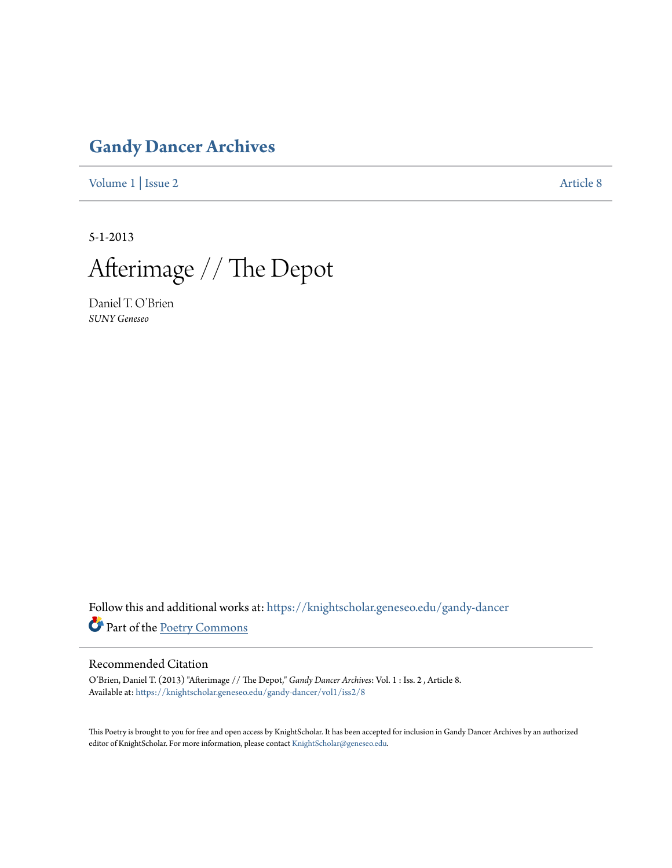## **[Gandy Dancer Archives](https://knightscholar.geneseo.edu/gandy-dancer?utm_source=knightscholar.geneseo.edu%2Fgandy-dancer%2Fvol1%2Fiss2%2F8&utm_medium=PDF&utm_campaign=PDFCoverPages)**

[Volume 1](https://knightscholar.geneseo.edu/gandy-dancer/vol1?utm_source=knightscholar.geneseo.edu%2Fgandy-dancer%2Fvol1%2Fiss2%2F8&utm_medium=PDF&utm_campaign=PDFCoverPages) | [Issue 2](https://knightscholar.geneseo.edu/gandy-dancer/vol1/iss2?utm_source=knightscholar.geneseo.edu%2Fgandy-dancer%2Fvol1%2Fiss2%2F8&utm_medium=PDF&utm_campaign=PDFCoverPages) [Article 8](https://knightscholar.geneseo.edu/gandy-dancer/vol1/iss2/8?utm_source=knightscholar.geneseo.edu%2Fgandy-dancer%2Fvol1%2Fiss2%2F8&utm_medium=PDF&utm_campaign=PDFCoverPages)

5-1-2013

Afterimage // The Depot

Daniel T. O'Brien *SUNY Geneseo*

Follow this and additional works at: [https://knightscholar.geneseo.edu/gandy-dancer](https://knightscholar.geneseo.edu/gandy-dancer?utm_source=knightscholar.geneseo.edu%2Fgandy-dancer%2Fvol1%2Fiss2%2F8&utm_medium=PDF&utm_campaign=PDFCoverPages) Part of the [Poetry Commons](http://network.bepress.com/hgg/discipline/1153?utm_source=knightscholar.geneseo.edu%2Fgandy-dancer%2Fvol1%2Fiss2%2F8&utm_medium=PDF&utm_campaign=PDFCoverPages)

### Recommended Citation

O'Brien, Daniel T. (2013) "Afterimage // The Depot," *Gandy Dancer Archives*: Vol. 1 : Iss. 2 , Article 8. Available at: [https://knightscholar.geneseo.edu/gandy-dancer/vol1/iss2/8](https://knightscholar.geneseo.edu/gandy-dancer/vol1/iss2/8?utm_source=knightscholar.geneseo.edu%2Fgandy-dancer%2Fvol1%2Fiss2%2F8&utm_medium=PDF&utm_campaign=PDFCoverPages)

This Poetry is brought to you for free and open access by KnightScholar. It has been accepted for inclusion in Gandy Dancer Archives by an authorized editor of KnightScholar. For more information, please contact [KnightScholar@geneseo.edu.](mailto:KnightScholar@geneseo.edu)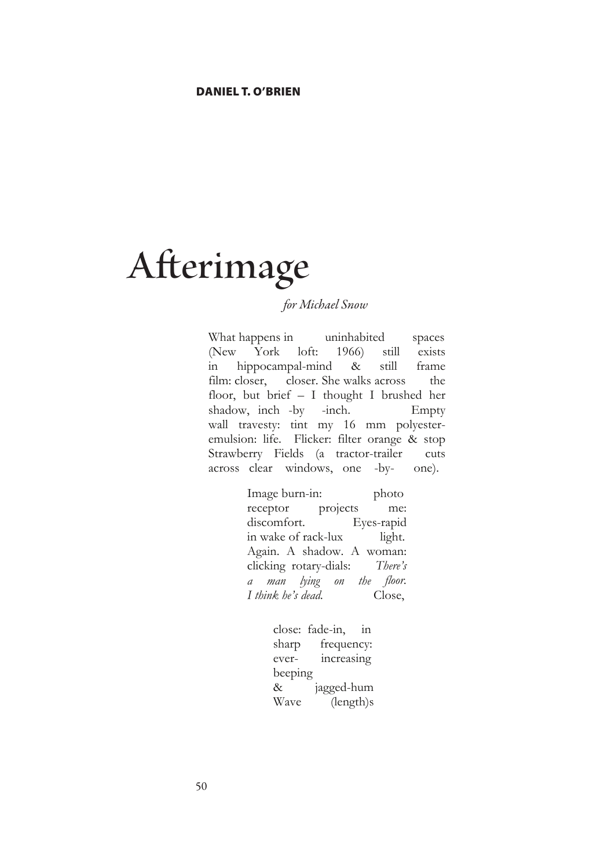# **Afterimage**

### *for Michael Snow*

What happens in uninhabited spaces (New York loft: 1966) still exists in hippocampal-mind & still frame film: closer, closer. She walks across the floor, but brief – I thought I brushed her shadow, inch -by -inch. Empty wall travesty: tint my 16 mm polyesteremulsion: life. Flicker: filter orange & stop Strawberry Fields (a tractor-trailer cuts across clear windows, one -by- one).

> Image burn-in: photo receptor projects me: discomfort. Eyes-rapid in wake of rack-lux light. Again. A shadow. A woman: clicking rotary-dials: *There's a man lying on the floor. I think he's dead.* Close,

> > close: fade-in, in sharp frequency: ever- increasing beeping & jagged-hum Wave (length)s